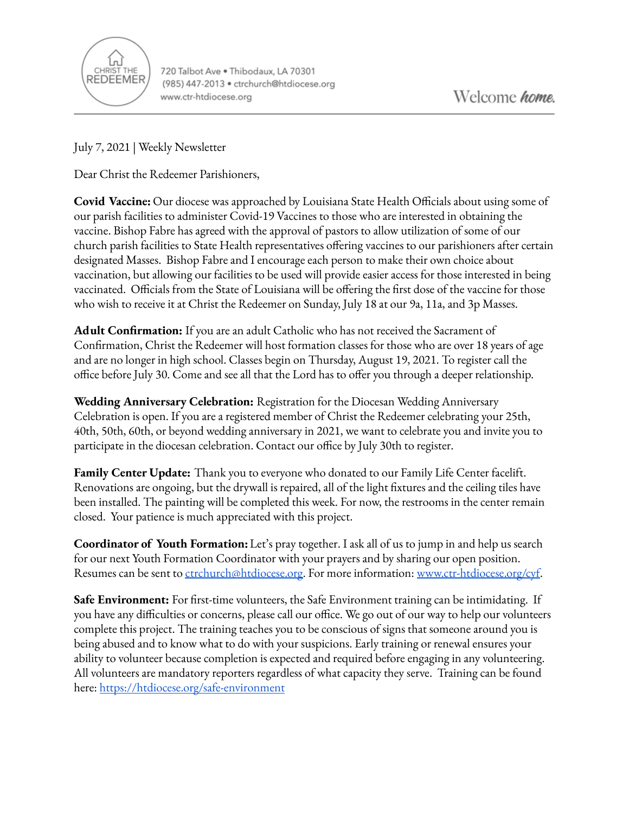

720 Talbot Ave . Thibodaux, LA 70301 (985) 447-2013 · ctrchurch@htdiocese.org www.ctr-htdiocese.org

July 7, 2021 | Weekly Newsletter

Dear Christ the Redeemer Parishioners,

**Covid Vaccine:** Our diocese was approached by Louisiana State Health Officials about using some of our parish facilities to administer Covid-19 Vaccines to those who are interested in obtaining the vaccine. Bishop Fabre has agreed with the approval of pastors to allow utilization of some of our church parish facilities to State Health representatives offering vaccines to our parishioners after certain designated Masses. Bishop Fabre and I encourage each person to make their own choice about vaccination, but allowing our facilities to be used will provide easier access for those interested in being vaccinated. Officials from the State of Louisiana will be offering the first dose of the vaccine for those who wish to receive it at Christ the Redeemer on Sunday, July 18 at our 9a, 11a, and 3p Masses.

**Adult Confirmation:** If you are an adult Catholic who has not received the Sacrament of Confirmation, Christ the Redeemer will host formation classes for those who are over 18 years of age and are no longer in high school. Classes begin on Thursday, August 19, 2021. To register call the office before July 30. Come and see all that the Lord has to offer you through a deeper relationship.

**Wedding Anniversary Celebration:** Registration for the Diocesan Wedding Anniversary Celebration is open. If you are a registered member of Christ the Redeemer celebrating your 25th, 40th, 50th, 60th, or beyond wedding anniversary in 2021, we want to celebrate you and invite you to participate in the diocesan celebration. Contact our office by July 30th to register.

**Family Center Update:** Thank you to everyone who donated to our Family Life Center facelift. Renovations are ongoing, but the drywall is repaired, all of the light fixtures and the ceiling tiles have been installed. The painting will be completed this week. For now, the restrooms in the center remain closed. Your patience is much appreciated with this project.

**Coordinator of Youth Formation:**Let's pray together. I ask all of us to jump in and help us search for our next Youth Formation Coordinator with your prayers and by sharing our open position. Resumes can be sent to [ctrchurch@htdiocese.org.](mailto:ctrchurch@htdiocese.org) For more information: [www.ctr-htdiocese.org/cyf.](http://www.ctr-htdiocese.org/cyf)

**Safe Environment:** For first-time volunteers, the Safe Environment training can be intimidating. If you have any difficulties or concerns, please call our office. We go out of our way to help our volunteers complete this project. The training teaches you to be conscious of signs that someone around you is being abused and to know what to do with your suspicions. Early training or renewal ensures your ability to volunteer because completion is expected and required before engaging in any volunteering. All volunteers are mandatory reporters regardless of what capacity they serve. Training can be found here: <https://htdiocese.org/safe-environment>